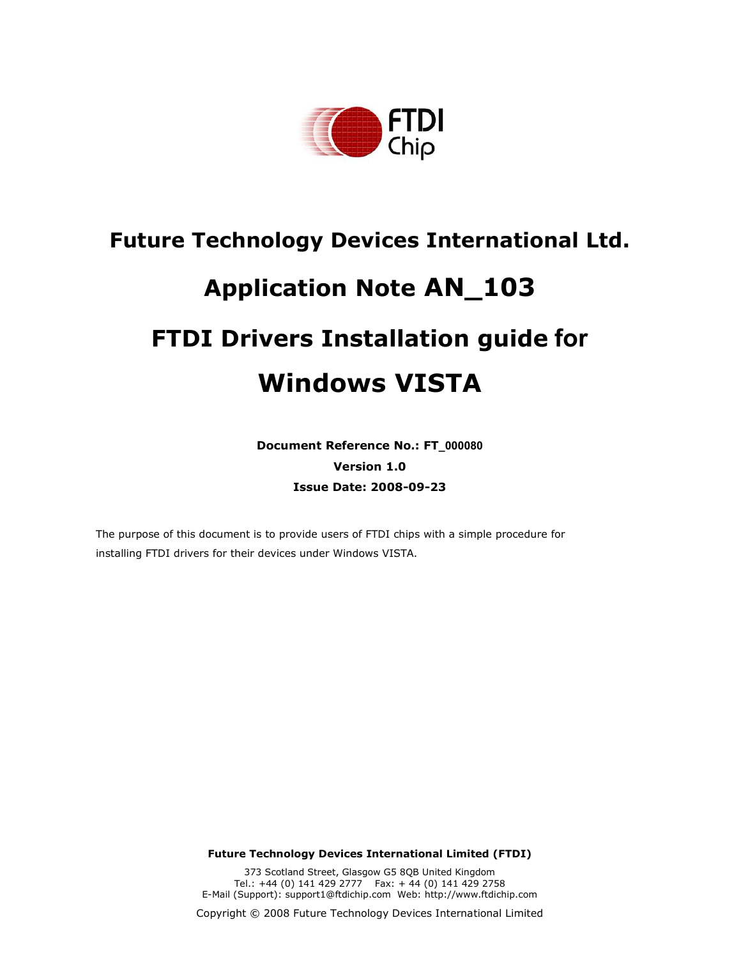

# **Future Technology Devices International Ltd. Application Note AN\_103 FTDI Drivers Installation guide for Windows VISTA**

**Document Reference No.: FT\_000080 Version 1.0 Issue Date: 2008-09-23** 

The purpose of this document is to provide users of FTDI chips with a simple procedure for installing FTDI drivers for their devices under Windows VISTA.

**Future Technology Devices International Limited (FTDI)** 

373 Scotland Street, Glasgow G5 8QB United Kingdom Tel.: +44 (0) 141 429 2777 Fax: + 44 (0) 141 429 2758 E-Mail (Support): support1@ftdichip.com Web: http://www.ftdichip.com

Copyright © 2008 Future Technology Devices International Limited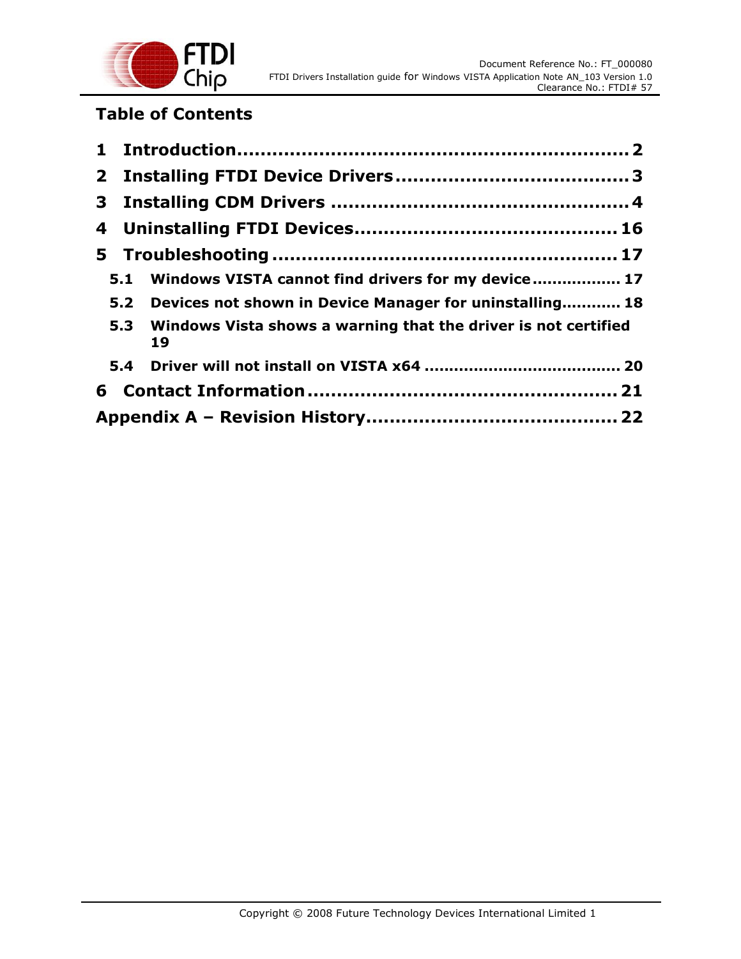

## **Table of Contents**

|  | 5.1 Windows VISTA cannot find drivers for my device 17                   |  |  |
|--|--------------------------------------------------------------------------|--|--|
|  | 5.2 Devices not shown in Device Manager for uninstalling 18              |  |  |
|  | 5.3 Windows Vista shows a warning that the driver is not certified<br>19 |  |  |
|  |                                                                          |  |  |
|  |                                                                          |  |  |
|  |                                                                          |  |  |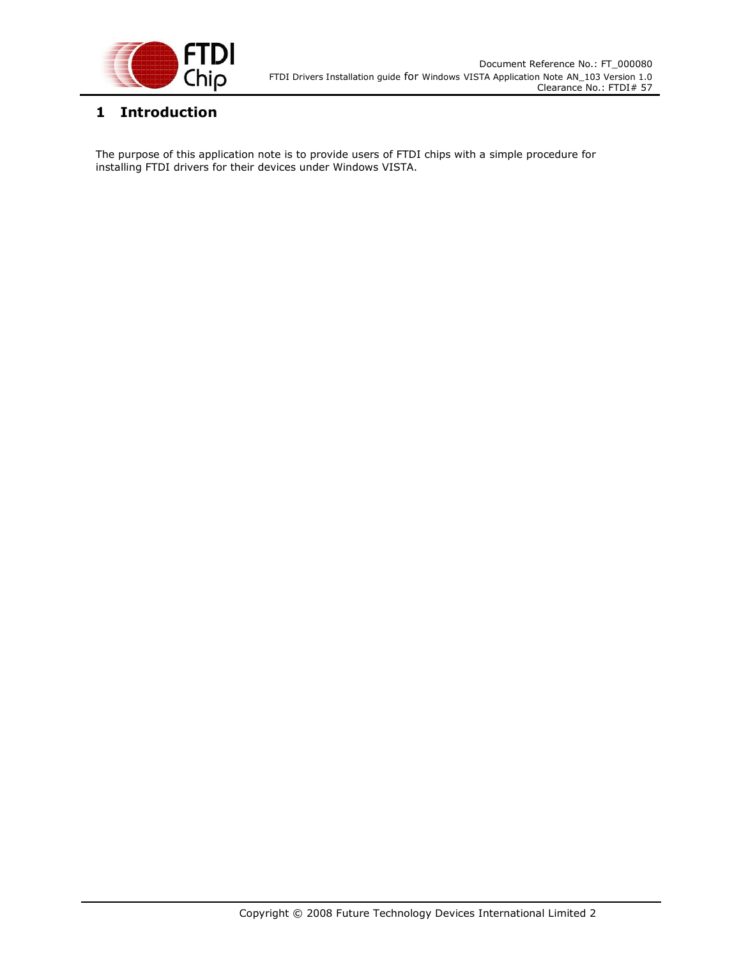

## **1 Introduction**

The purpose of this application note is to provide users of FTDI chips with a simple procedure for installing FTDI drivers for their devices under Windows VISTA.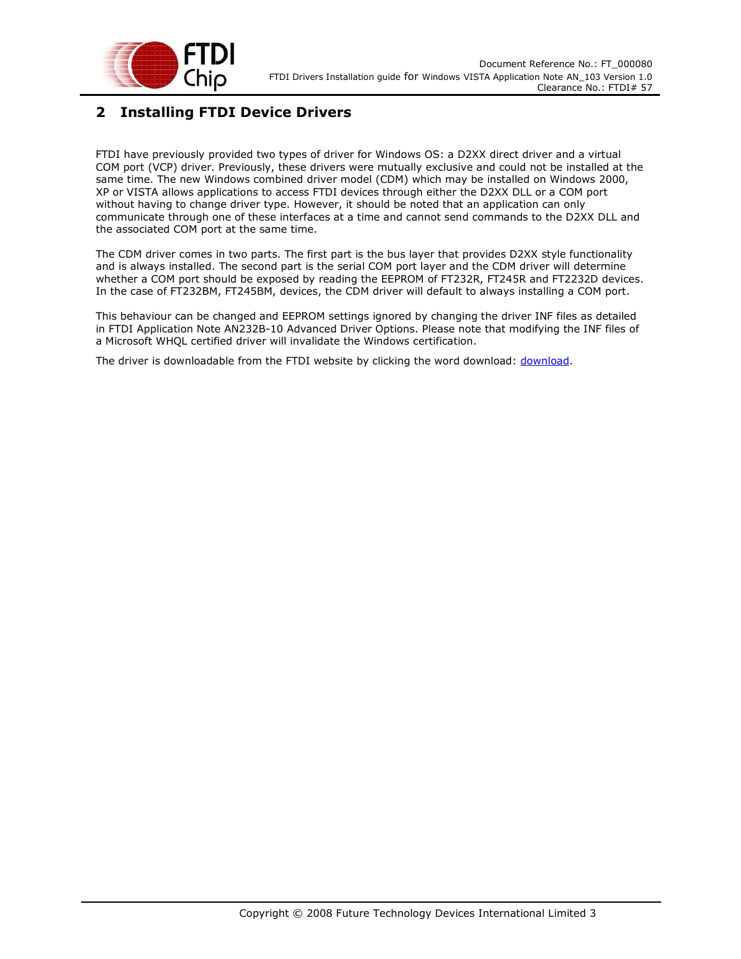

## **2 Installing FTDI Device Drivers**

FTDI have previously provided two types of driver for Windows OS: a D2XX direct driver and a virtual COM port (VCP) driver. Previously, these drivers were mutually exclusive and could not be installed at the same time. The new Windows combined driver model (CDM) which may be installed on Windows 2000, XP or VISTA allows applications to access FTDI devices through either the D2XX DLL or a COM port without having to change driver type. However, it should be noted that an application can only communicate through one of these interfaces at a time and cannot send commands to the D2XX DLL and the associated COM port at the same time.

The CDM driver comes in two parts. The first part is the bus layer that provides D2XX style functionality and is always installed. The second part is the serial COM port layer and the CDM driver will determine whether a COM port should be exposed by reading the EEPROM of FT232R, FT245R and FT2232D devices. In the case of FT232BM, FT245BM, devices, the CDM driver will default to always installing a COM port.

This behaviour can be changed and EEPROM settings ignored by changing the driver INF files as detailed in FTDI Application Note AN232B-10 Advanced Driver Options. Please note that modifying the INF files of a Microsoft WHQL certified driver will invalidate the Windows certification.

The driver is downloadable from the FTDI website by clicking the word download: download.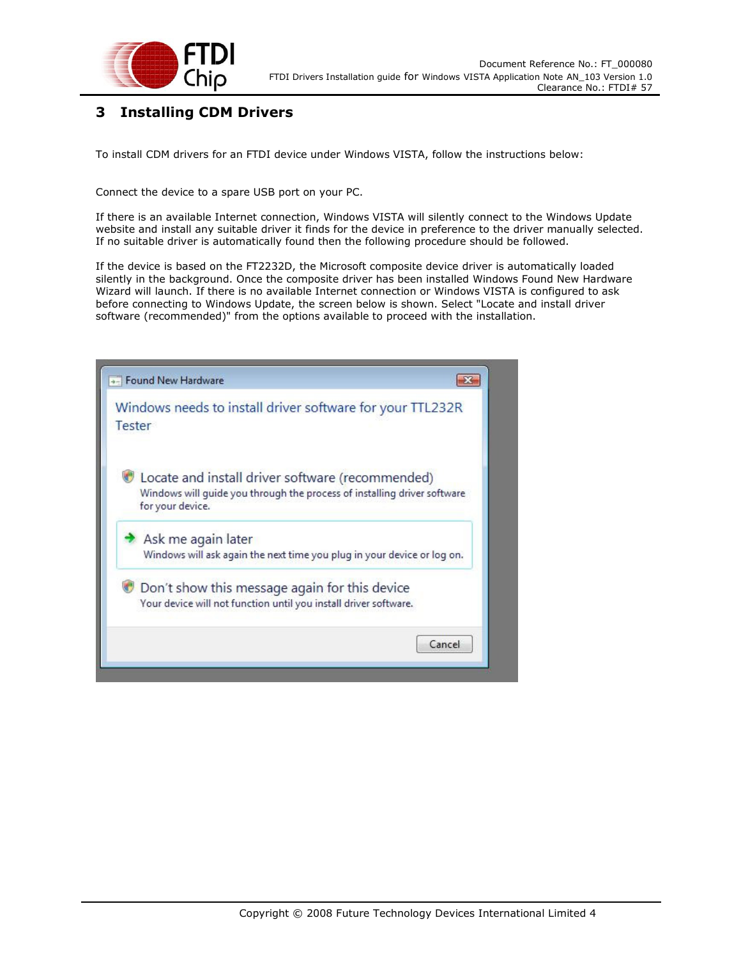

## **3 Installing CDM Drivers**

To install CDM drivers for an FTDI device under Windows VISTA, follow the instructions below:

Connect the device to a spare USB port on your PC.

If there is an available Internet connection, Windows VISTA will silently connect to the Windows Update website and install any suitable driver it finds for the device in preference to the driver manually selected. If no suitable driver is automatically found then the following procedure should be followed.

If the device is based on the FT2232D, the Microsoft composite device driver is automatically loaded silently in the background. Once the composite driver has been installed Windows Found New Hardware Wizard will launch. If there is no available Internet connection or Windows VISTA is configured to ask before connecting to Windows Update, the screen below is shown. Select "Locate and install driver software (recommended)" from the options available to proceed with the installation.

| +- Found New Hardware                                                                                                                            |  |
|--------------------------------------------------------------------------------------------------------------------------------------------------|--|
| Windows needs to install driver software for your TTL232R<br>Tester                                                                              |  |
| Locate and install driver software (recommended)<br>Windows will guide you through the process of installing driver software<br>for your device. |  |
| Ask me again later<br>Windows will ask again the next time you plug in your device or log on.                                                    |  |
| Don't show this message again for this device<br>Your device will not function until you install driver software.                                |  |
| Cancel                                                                                                                                           |  |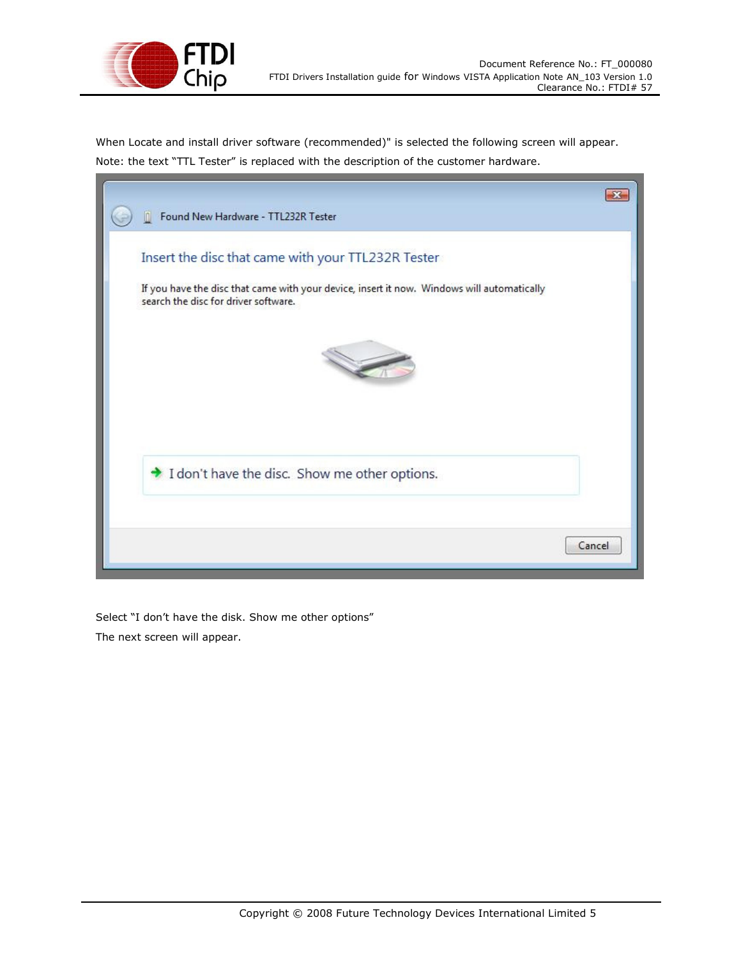

in 1

When Locate and install driver software (recommended)" is selected the following screen will appear. Note: the text "TTL Tester" is replaced with the description of the customer hardware.

| Found New Hardware - TTL232R Tester                                                                                                |        |
|------------------------------------------------------------------------------------------------------------------------------------|--------|
| Insert the disc that came with your TTL232R Tester                                                                                 |        |
| If you have the disc that came with your device, insert it now. Windows will automatically<br>search the disc for driver software. |        |
|                                                                                                                                    |        |
|                                                                                                                                    |        |
| I don't have the disc. Show me other options.                                                                                      |        |
|                                                                                                                                    |        |
|                                                                                                                                    | Cancel |

Select "I don't have the disk. Show me other options" The next screen will appear.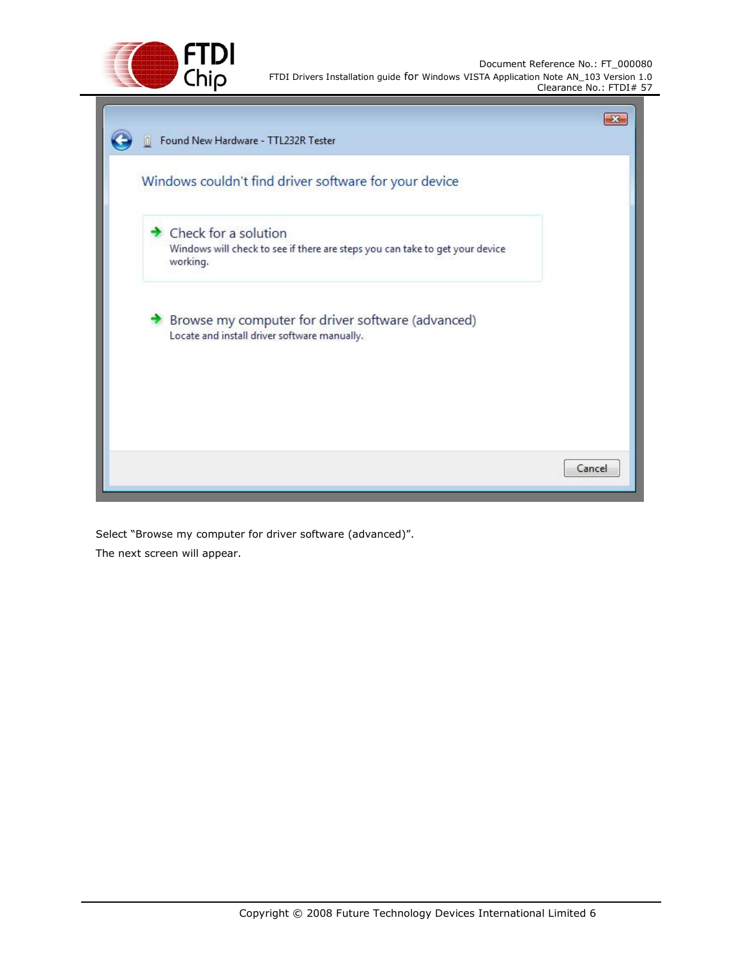

| Windows couldn't find driver software for your device                                                            |  |
|------------------------------------------------------------------------------------------------------------------|--|
| Check for a solution<br>Windows will check to see if there are steps you can take to get your device<br>working. |  |
| Browse my computer for driver software (advanced)<br>Locate and install driver software manually.                |  |
|                                                                                                                  |  |

Select "Browse my computer for driver software (advanced)". The next screen will appear.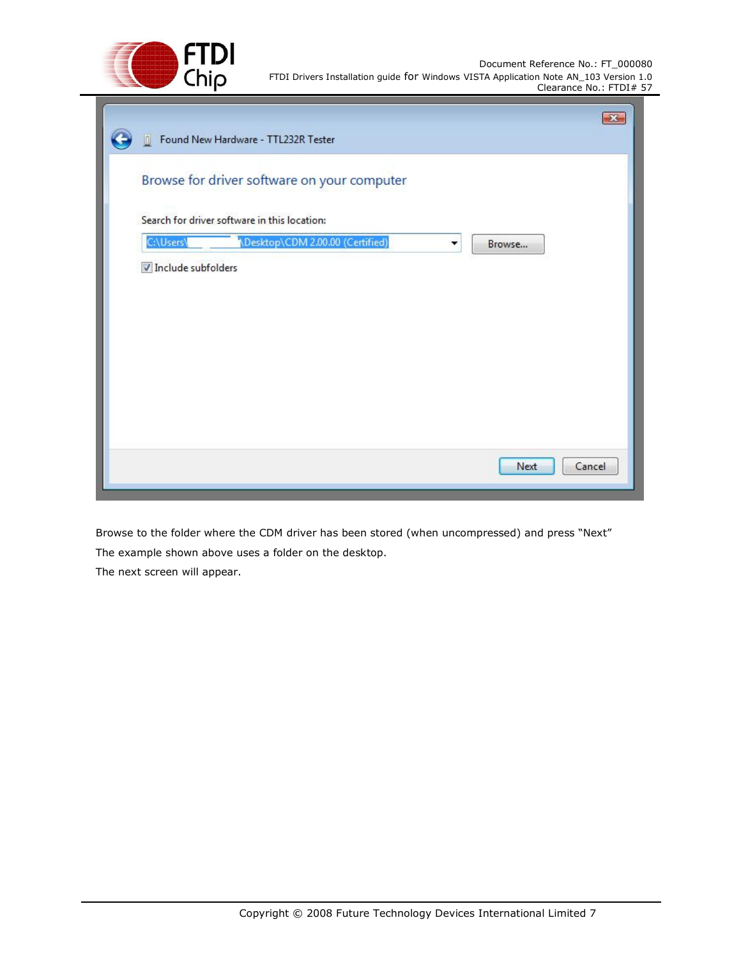

|                    | Browse for driver software on your computer  |             |
|--------------------|----------------------------------------------|-------------|
|                    | Search for driver software in this location: |             |
| C:\Users\          | Desktop\CDM 2.00.00 (Certified)              | Browse<br>▼ |
| Include subfolders |                                              |             |
|                    |                                              |             |
|                    |                                              |             |
|                    |                                              |             |
|                    |                                              |             |
|                    |                                              |             |
|                    |                                              |             |

Browse to the folder where the CDM driver has been stored (when uncompressed) and press "Next" The example shown above uses a folder on the desktop.

The next screen will appear.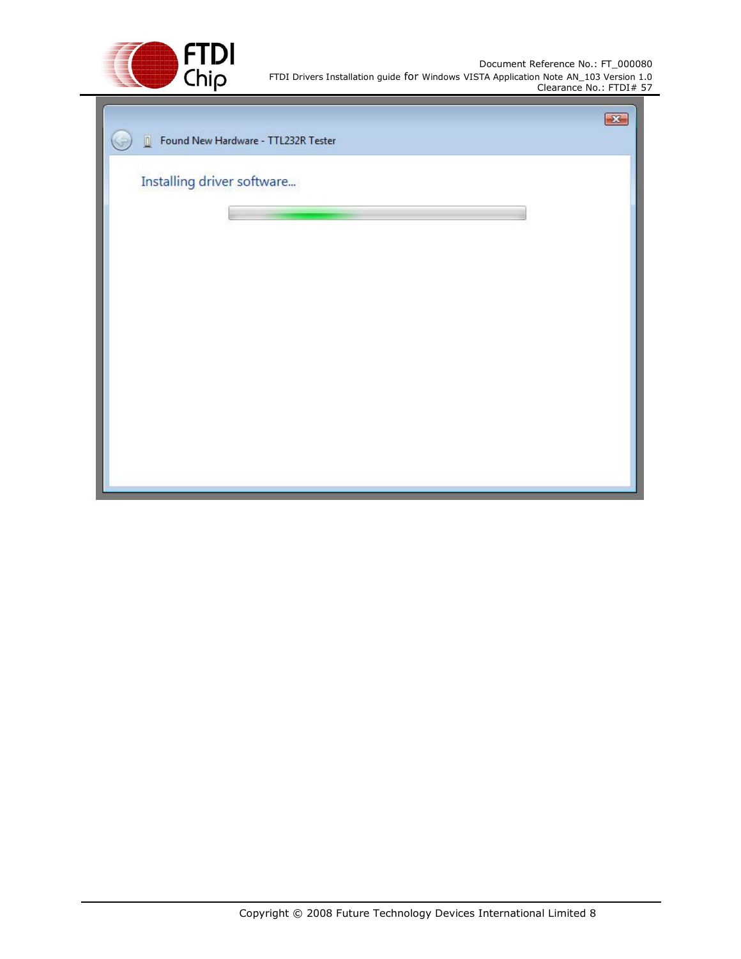

| Found New Hardware - TTL232R Tester<br>$\blacksquare$ | $\mathbf{X}$ |
|-------------------------------------------------------|--------------|
| Installing driver software                            |              |
|                                                       |              |
|                                                       |              |
|                                                       |              |
|                                                       |              |
|                                                       |              |
|                                                       |              |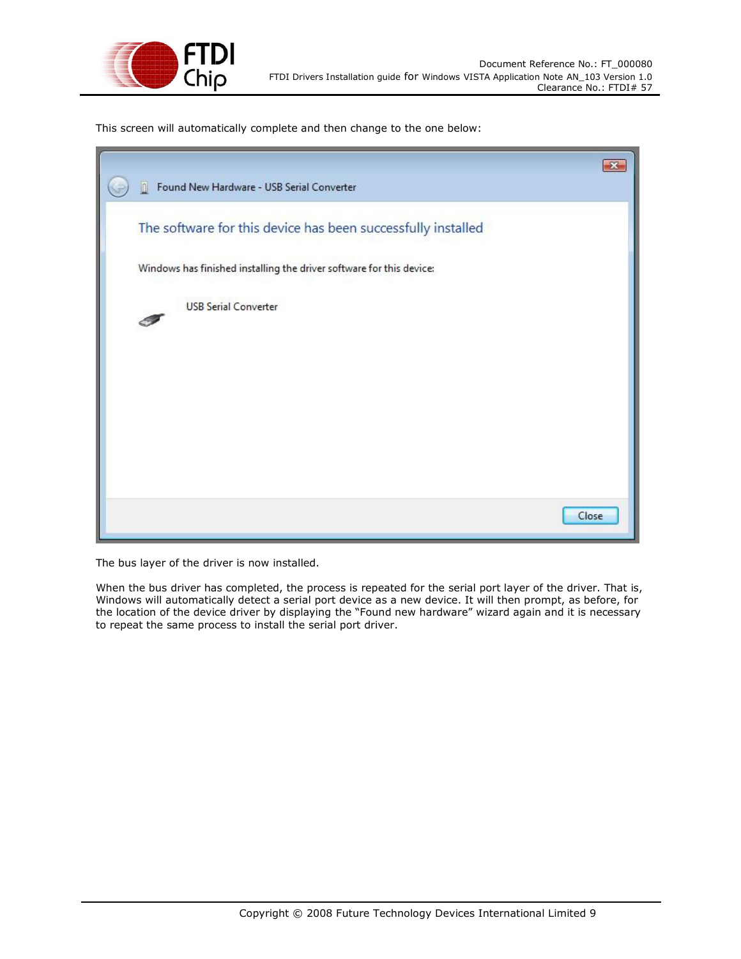

This screen will automatically complete and then change to the one below:

| Found New Hardware - USB Serial Converter                            |       |
|----------------------------------------------------------------------|-------|
| The software for this device has been successfully installed         |       |
| Windows has finished installing the driver software for this device: |       |
| <b>USB Serial Converter</b>                                          |       |
|                                                                      |       |
|                                                                      |       |
|                                                                      |       |
|                                                                      |       |
|                                                                      |       |
|                                                                      | Close |

The bus layer of the driver is now installed.

When the bus driver has completed, the process is repeated for the serial port layer of the driver. That is, Windows will automatically detect a serial port device as a new device. It will then prompt, as before, for the location of the device driver by displaying the "Found new hardware" wizard again and it is necessary to repeat the same process to install the serial port driver.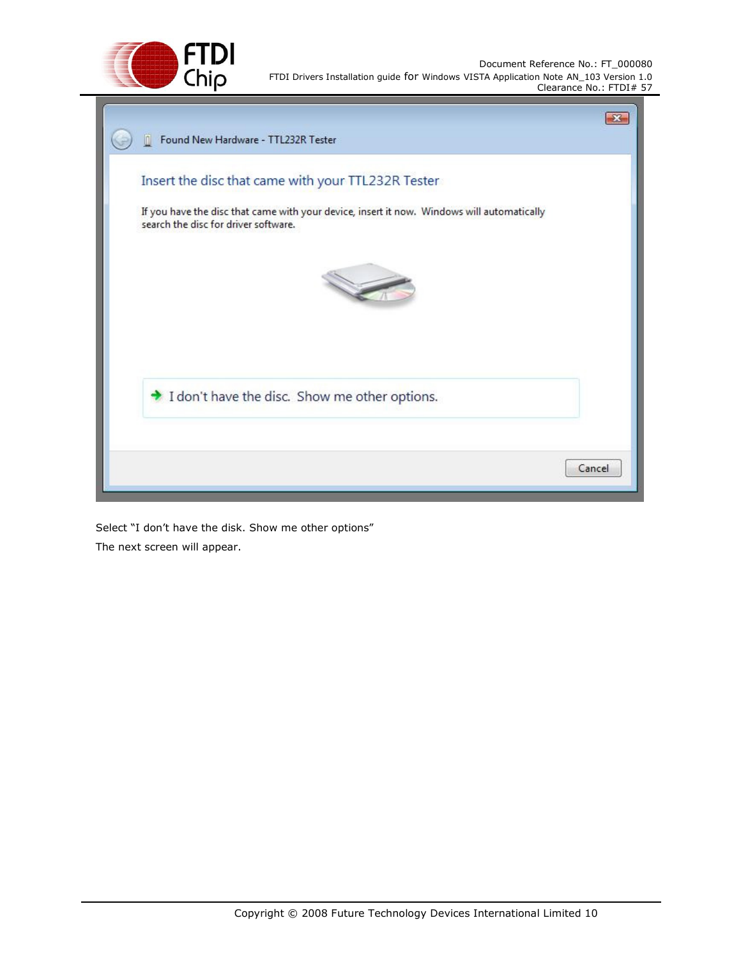



Select "I don't have the disk. Show me other options" The next screen will appear.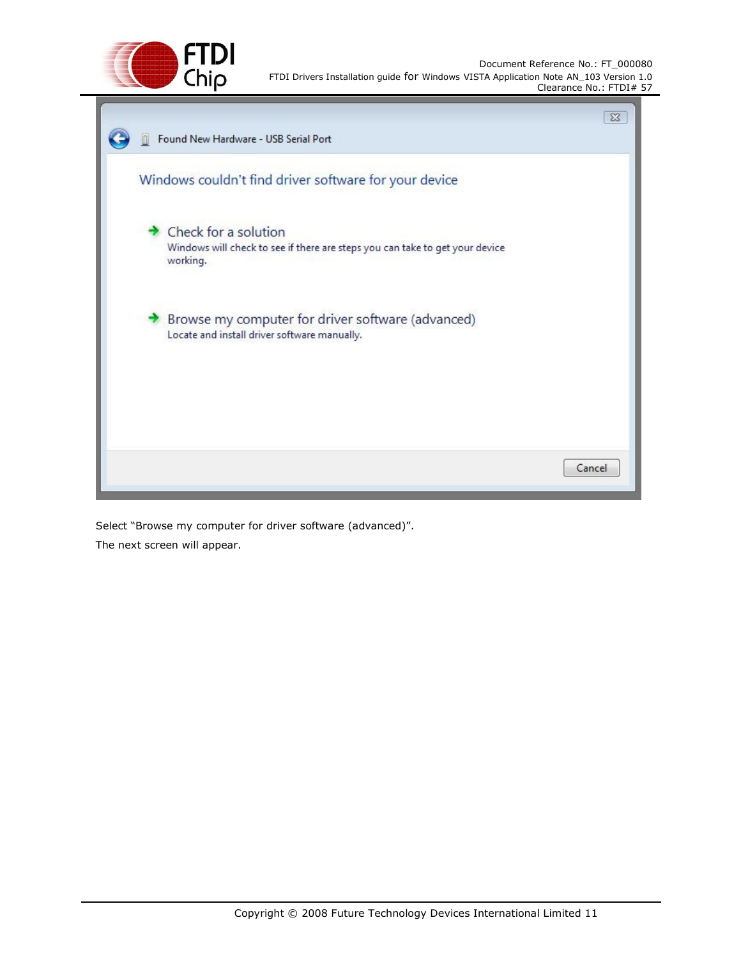

|                                                                                                                  | $\Sigma$ |
|------------------------------------------------------------------------------------------------------------------|----------|
| Found New Hardware - USB Serial Port                                                                             |          |
| Windows couldn't find driver software for your device                                                            |          |
| Check for a solution<br>Windows will check to see if there are steps you can take to get your device<br>working. |          |
| Browse my computer for driver software (advanced)<br>Locate and install driver software manually.                |          |
|                                                                                                                  |          |
|                                                                                                                  | Cancel   |

Select "Browse my computer for driver software (advanced)". The next screen will appear.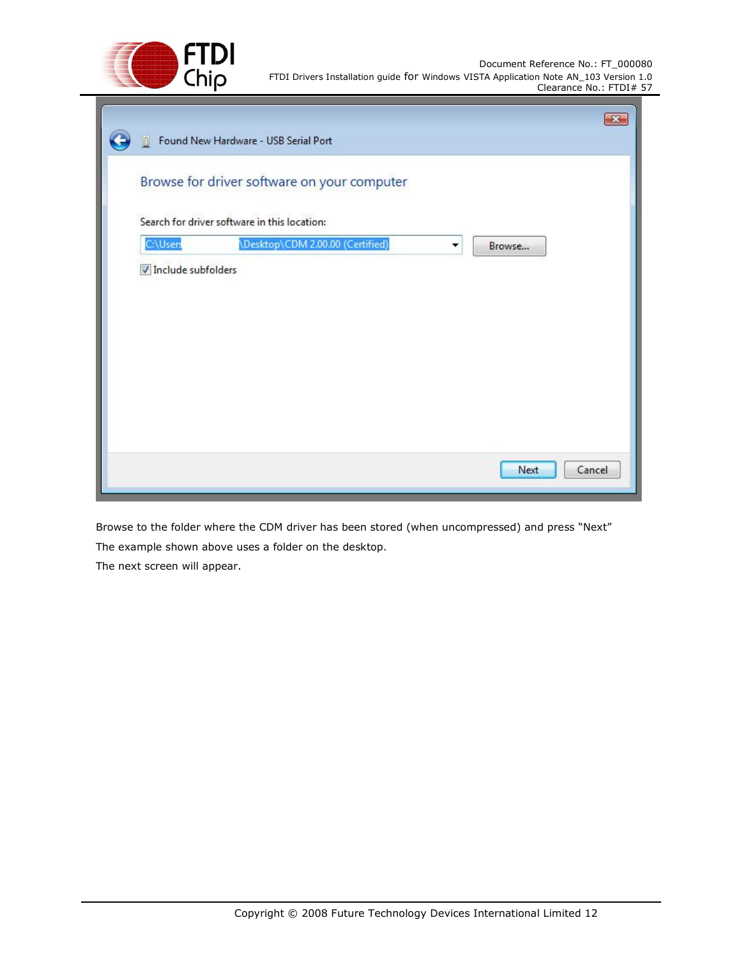

|                    |                                              | $-28$          |
|--------------------|----------------------------------------------|----------------|
| In.                | Found New Hardware - USB Serial Port         |                |
|                    | Browse for driver software on your computer  |                |
|                    | Search for driver software in this location: |                |
| C:\Users           | \Desktop\CDM 2.00.00 (Certified)             | Browse<br>۰    |
| Include subfolders |                                              |                |
|                    |                                              |                |
|                    |                                              |                |
|                    |                                              |                |
|                    |                                              |                |
|                    |                                              |                |
|                    |                                              |                |
|                    |                                              |                |
|                    |                                              | Cancel<br>Next |
|                    |                                              |                |

Browse to the folder where the CDM driver has been stored (when uncompressed) and press "Next" The example shown above uses a folder on the desktop.

The next screen will appear.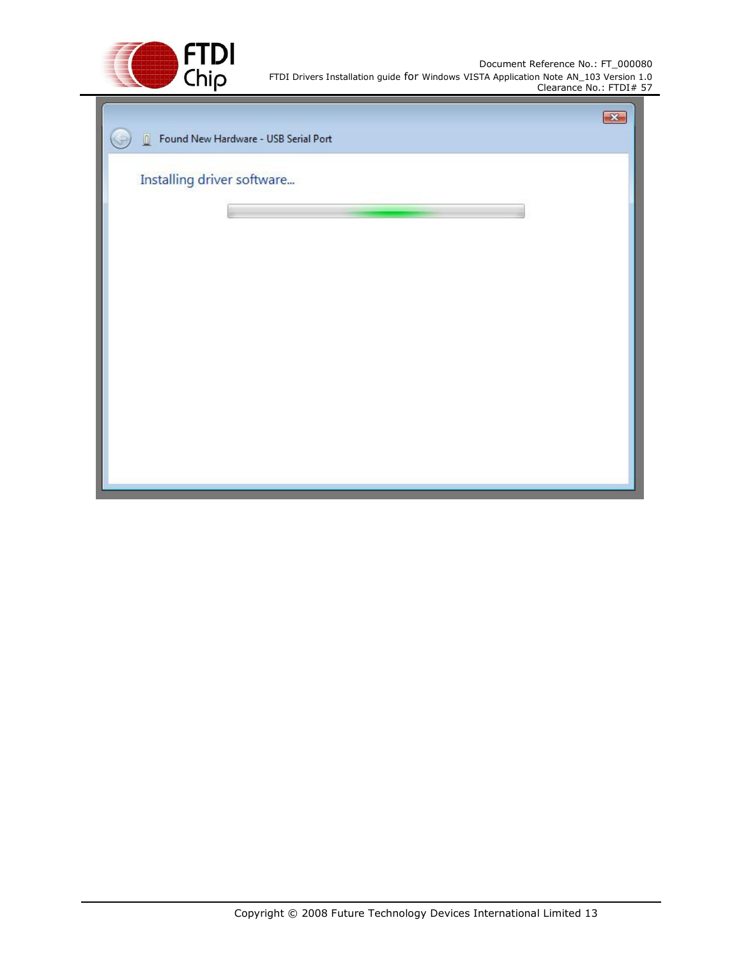

| Found New Hardware - USB Serial Port<br>$\overline{\mathbb{D}}$ | $\mathbb{R}$ |
|-----------------------------------------------------------------|--------------|
| Installing driver software                                      |              |
|                                                                 |              |
|                                                                 |              |
|                                                                 |              |
|                                                                 |              |
|                                                                 |              |
|                                                                 |              |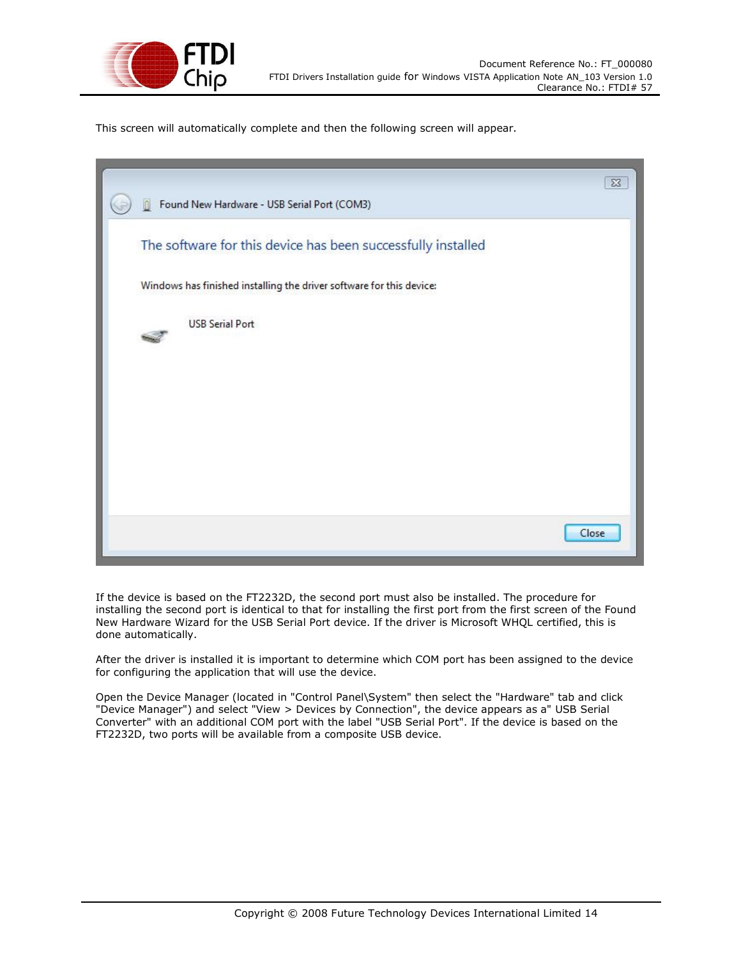

This screen will automatically complete and then the following screen will appear.

| Found New Hardware - USB Serial Port (COM3)                          | $\Sigma$ |
|----------------------------------------------------------------------|----------|
| The software for this device has been successfully installed         |          |
| Windows has finished installing the driver software for this device: |          |
| <b>USB Serial Port</b>                                               |          |
|                                                                      |          |
|                                                                      |          |
|                                                                      |          |
|                                                                      |          |
|                                                                      | Close    |

If the device is based on the FT2232D, the second port must also be installed. The procedure for installing the second port is identical to that for installing the first port from the first screen of the Found New Hardware Wizard for the USB Serial Port device. If the driver is Microsoft WHQL certified, this is done automatically.

After the driver is installed it is important to determine which COM port has been assigned to the device for configuring the application that will use the device.

Open the Device Manager (located in "Control Panel\System" then select the "Hardware" tab and click "Device Manager") and select "View > Devices by Connection", the device appears as a" USB Serial Converter" with an additional COM port with the label "USB Serial Port". If the device is based on the FT2232D, two ports will be available from a composite USB device.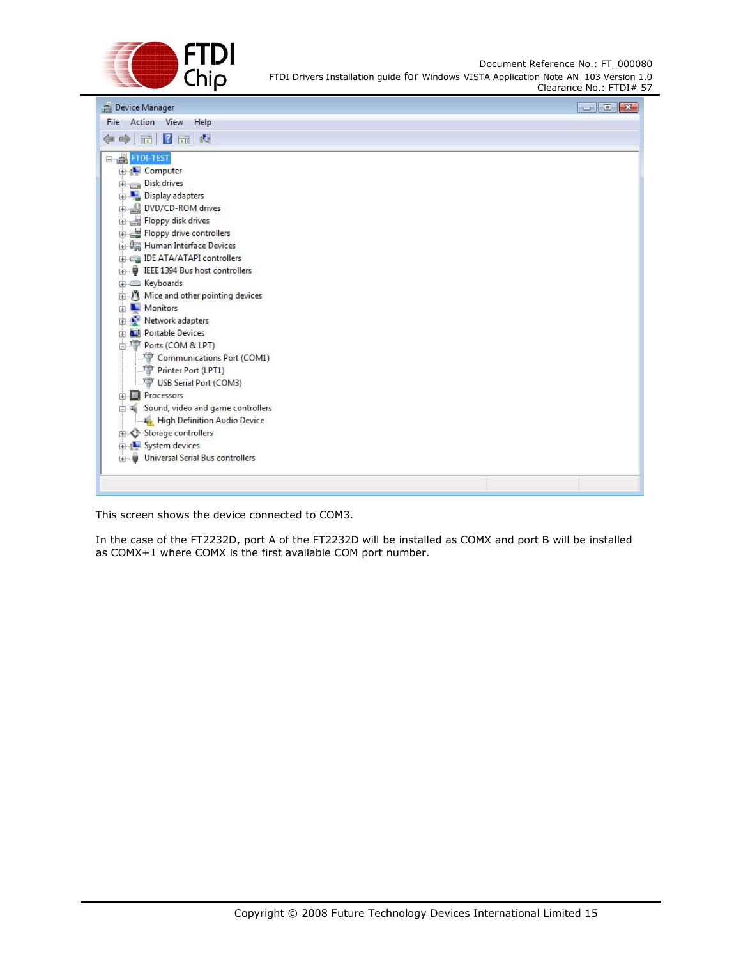

| Device Manager                          | $\Box$ $\Box$ |
|-----------------------------------------|---------------|
| File Action View<br>Help                |               |
| ◆ ● 同 2 団 戊                             |               |
| E- PETDI-TEST                           |               |
| <b>E</b> Computer                       |               |
| Disk drives                             |               |
| Display adapters                        |               |
| DVD/CD-ROM drives<br>画                  |               |
| Floppy disk drives                      |               |
| Floppy drive controllers                |               |
| <b>E. Um</b> Human Interface Devices    |               |
| IDE ATA/ATAPI controllers               |               |
| <b>E</b> IEEE 1394 Bus host controllers |               |
| E Keyboards                             |               |
| Mice and other pointing devices         |               |
| <b>Nonitors</b>                         |               |
| <b>Network adapters</b>                 |               |
| <b>Fig. Dill</b> Portable Devices       |               |
| Ports (COM & LPT)                       |               |
| Communications Port (COM1)              |               |
| Printer Port (LPT1)                     |               |
| USB Serial Port (COM3)                  |               |
| <b>Processors</b>                       |               |
| Sound, video and game controllers       |               |
| High Definition Audio Device            |               |
| Storage controllers<br>田                |               |
| <b>E-4- System devices</b>              |               |
| Universal Serial Bus controllers<br>田   |               |
|                                         |               |
|                                         |               |
|                                         |               |

This screen shows the device connected to COM3.

In the case of the FT2232D, port A of the FT2232D will be installed as COMX and port B will be installed as COMX+1 where COMX is the first available COM port number.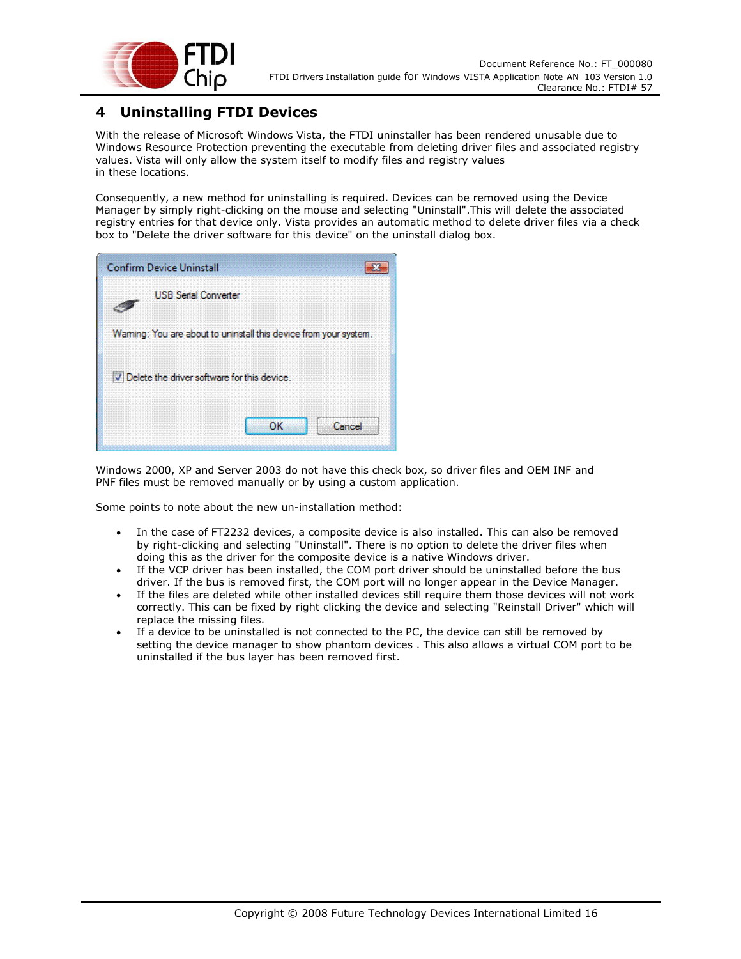

#### **4 Uninstalling FTDI Devices**

With the release of Microsoft Windows Vista, the FTDI uninstaller has been rendered unusable due to Windows Resource Protection preventing the executable from deleting driver files and associated registry values. Vista will only allow the system itself to modify files and registry values in these locations.

Consequently, a new method for uninstalling is required. Devices can be removed using the Device Manager by simply right-clicking on the mouse and selecting "Uninstall".This will delete the associated registry entries for that device only. Vista provides an automatic method to delete driver files via a check box to "Delete the driver software for this device" on the uninstall dialog box.

| <b>Confirm Device Uninstall</b>                                  |
|------------------------------------------------------------------|
| <b>USB Serial Converter</b>                                      |
| Waming: You are about to uninstall this device from your system. |
| V Delete the driver software for this device.                    |
| Cancel<br>OΚ                                                     |

Windows 2000, XP and Server 2003 do not have this check box, so driver files and OEM INF and PNF files must be removed manually or by using a custom application.

Some points to note about the new un-installation method:

- In the case of FT2232 devices, a composite device is also installed. This can also be removed by right-clicking and selecting "Uninstall". There is no option to delete the driver files when doing this as the driver for the composite device is a native Windows driver.
- If the VCP driver has been installed, the COM port driver should be uninstalled before the bus driver. If the bus is removed first, the COM port will no longer appear in the Device Manager.
- If the files are deleted while other installed devices still require them those devices will not work correctly. This can be fixed by right clicking the device and selecting "Reinstall Driver" which will replace the missing files.
- If a device to be uninstalled is not connected to the PC, the device can still be removed by setting the device manager to show phantom devices . This also allows a virtual COM port to be uninstalled if the bus layer has been removed first.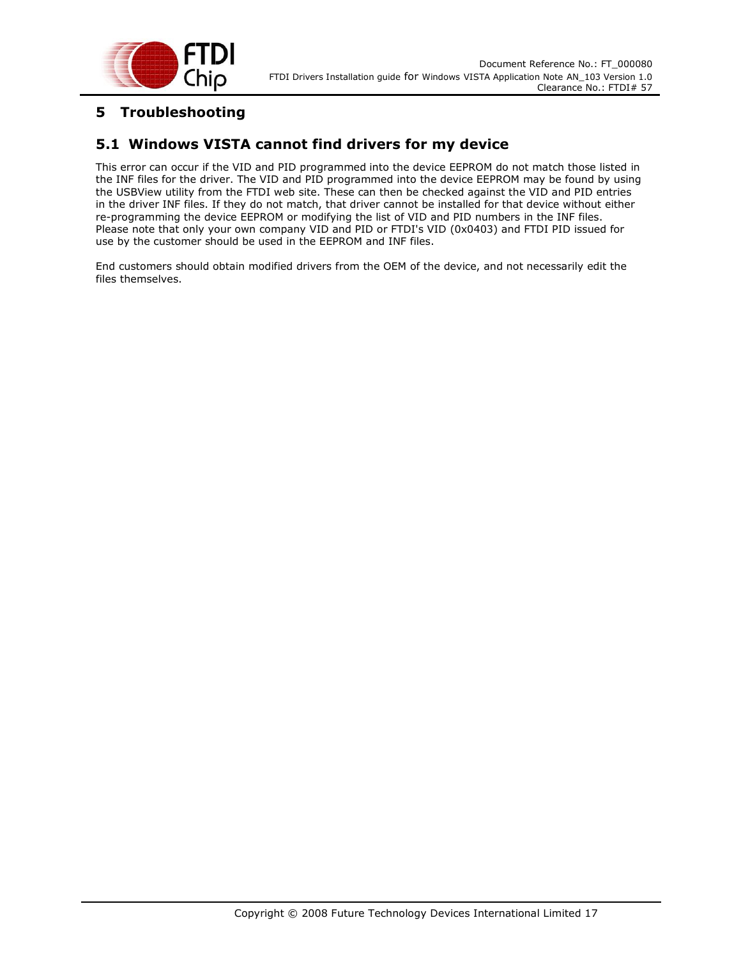

#### **5 Troubleshooting**

#### **5.1 Windows VISTA cannot find drivers for my device**

This error can occur if the VID and PID programmed into the device EEPROM do not match those listed in the INF files for the driver. The VID and PID programmed into the device EEPROM may be found by using the USBView utility from the FTDI web site. These can then be checked against the VID and PID entries in the driver INF files. If they do not match, that driver cannot be installed for that device without either re-programming the device EEPROM or modifying the list of VID and PID numbers in the INF files. Please note that only your own company VID and PID or FTDI's VID (0x0403) and FTDI PID issued for use by the customer should be used in the EEPROM and INF files.

End customers should obtain modified drivers from the OEM of the device, and not necessarily edit the files themselves.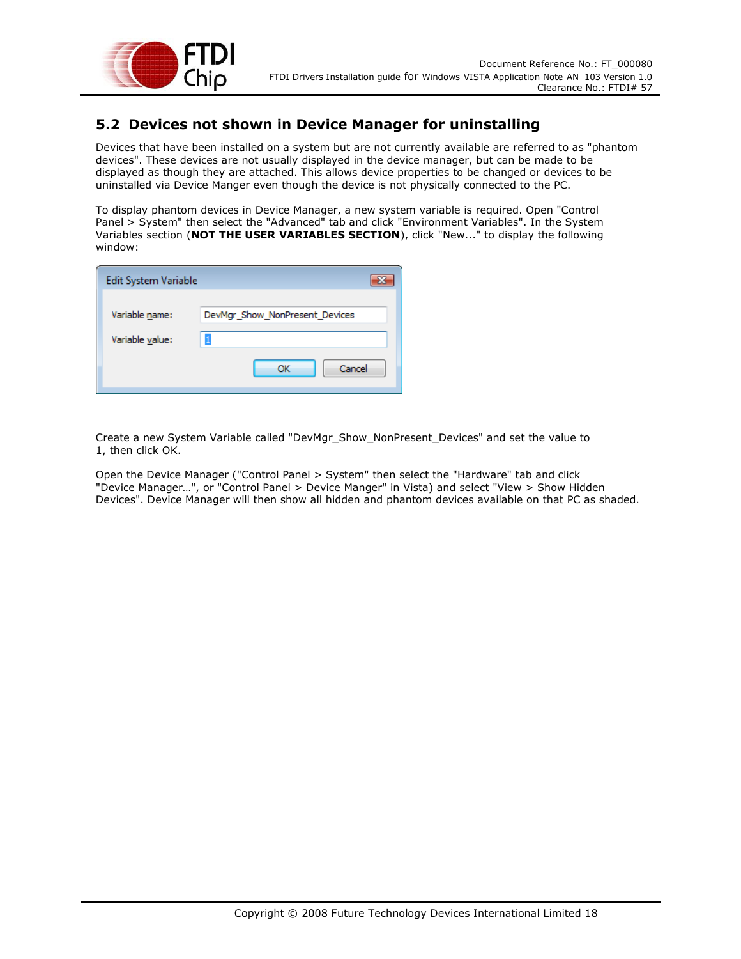

#### **5.2 Devices not shown in Device Manager for uninstalling**

Devices that have been installed on a system but are not currently available are referred to as "phantom devices". These devices are not usually displayed in the device manager, but can be made to be displayed as though they are attached. This allows device properties to be changed or devices to be uninstalled via Device Manger even though the device is not physically connected to the PC.

To display phantom devices in Device Manager, a new system variable is required. Open "Control Panel > System" then select the "Advanced" tab and click "Environment Variables". In the System Variables section (**NOT THE USER VARIABLES SECTION**), click "New..." to display the following window:

| Edit System Variable |                                |
|----------------------|--------------------------------|
| Variable name:       | DevMgr_Show_NonPresent_Devices |
| Variable value:      | Cancel<br>ОК                   |

Create a new System Variable called "DevMgr\_Show\_NonPresent\_Devices" and set the value to 1, then click OK.

Open the Device Manager ("Control Panel > System" then select the "Hardware" tab and click "Device Manager…", or "Control Panel > Device Manger" in Vista) and select "View > Show Hidden Devices". Device Manager will then show all hidden and phantom devices available on that PC as shaded.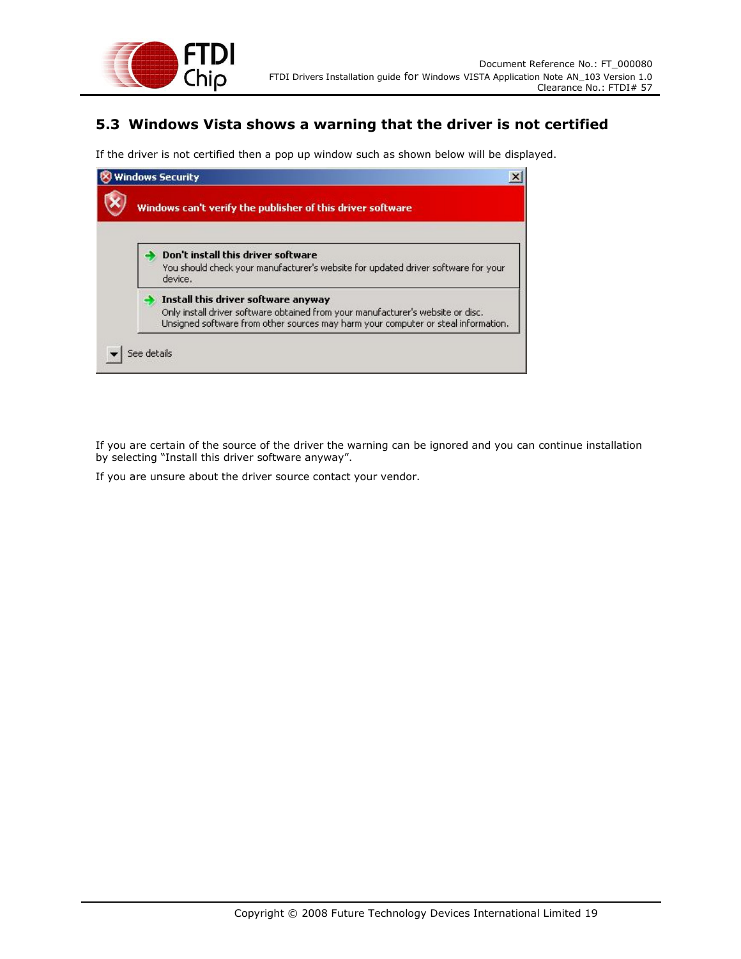

#### **5.3 Windows Vista shows a warning that the driver is not certified**

If the driver is not certified then a pop up window such as shown below will be displayed.

| Windows can't verify the publisher of this driver software |                                                                                                                                                                                                             |
|------------------------------------------------------------|-------------------------------------------------------------------------------------------------------------------------------------------------------------------------------------------------------------|
|                                                            | Don't install this driver software<br>You should check your manufacturer's website for updated driver software for your<br>device.                                                                          |
|                                                            | Install this driver software anyway<br>Only install driver software obtained from your manufacturer's website or disc.<br>Unsigned software from other sources may harm your computer or steal information. |

If you are certain of the source of the driver the warning can be ignored and you can continue installation by selecting "Install this driver software anyway".

If you are unsure about the driver source contact your vendor.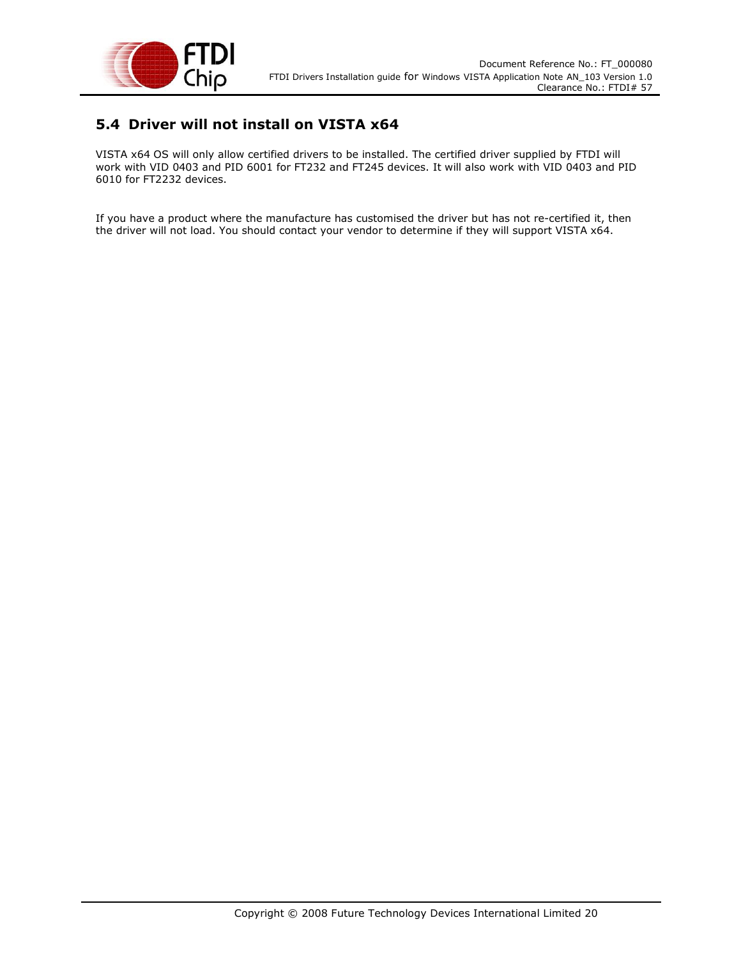

#### **5.4 Driver will not install on VISTA x64**

VISTA x64 OS will only allow certified drivers to be installed. The certified driver supplied by FTDI will work with VID 0403 and PID 6001 for FT232 and FT245 devices. It will also work with VID 0403 and PID 6010 for FT2232 devices.

If you have a product where the manufacture has customised the driver but has not re-certified it, then the driver will not load. You should contact your vendor to determine if they will support VISTA x64.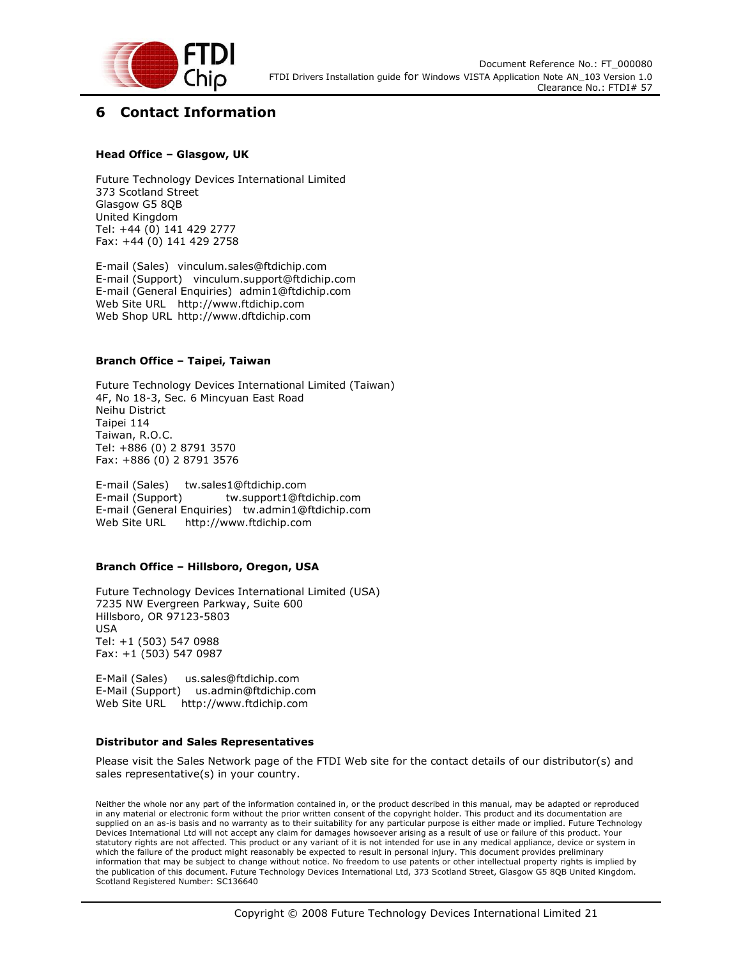

#### **6 Contact Information**

#### **Head Office – Glasgow, UK**

Future Technology Devices International Limited 373 Scotland Street Glasgow G5 8QB United Kingdom Tel: +44 (0) 141 429 2777 Fax: +44 (0) 141 429 2758

E-mail (Sales) vinculum.sales@ftdichip.com E-mail (Support) vinculum.support@ftdichip.com E-mail (General Enquiries) admin1@ftdichip.com Web Site URL http://www.ftdichip.com Web Shop URL http://www.dftdichip.com

#### **Branch Office – Taipei, Taiwan**

Future Technology Devices International Limited (Taiwan) 4F, No 18-3, Sec. 6 Mincyuan East Road Neihu District Taipei 114 Taiwan, R.O.C. Tel: +886 (0) 2 8791 3570 Fax: +886 (0) 2 8791 3576

E-mail (Sales) tw.sales1@ftdichip.com E-mail (Support) tw.support1@ftdichip.com E-mail (General Enquiries) tw.admin1@ftdichip.com Web Site URL http://www.ftdichip.com

#### **Branch Office – Hillsboro, Oregon, USA**

Future Technology Devices International Limited (USA) 7235 NW Evergreen Parkway, Suite 600 Hillsboro, OR 97123-5803 USA Tel: +1 (503) 547 0988 Fax: +1 (503) 547 0987

E-Mail (Sales) us.sales@ftdichip.com E-Mail (Support) us.admin@ftdichip.com Web Site URL http://www.ftdichip.com

#### **Distributor and Sales Representatives**

Please visit the Sales Network page of the FTDI Web site for the contact details of our distributor(s) and sales representative(s) in your country.

Neither the whole nor any part of the information contained in, or the product described in this manual, may be adapted or reproduced in any material or electronic form without the prior written consent of the copyright holder. This product and its documentation are supplied on an as-is basis and no warranty as to their suitability for any particular purpose is either made or implied. Future Technology Devices International Ltd will not accept any claim for damages howsoever arising as a result of use or failure of this product. Your statutory rights are not affected. This product or any variant of it is not intended for use in any medical appliance, device or system in which the failure of the product might reasonably be expected to result in personal injury. This document provides preliminary information that may be subject to change without notice. No freedom to use patents or other intellectual property rights is implied by the publication of this document. Future Technology Devices International Ltd, 373 Scotland Street, Glasgow G5 8QB United Kingdom. Scotland Registered Number: SC136640